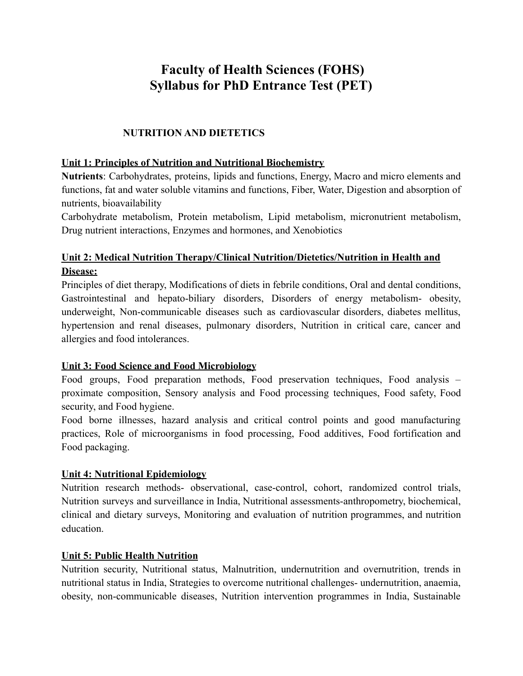# **Faculty of Health Sciences (FOHS) Syllabus for PhD Entrance Test (PET)**

# **NUTRITION AND DIETETICS**

#### **Unit 1: Principles of Nutrition and Nutritional Biochemistry**

**Nutrients**: Carbohydrates, proteins, lipids and functions, Energy, Macro and micro elements and functions, fat and water soluble vitamins and functions, Fiber, Water, Digestion and absorption of nutrients, bioavailability

Carbohydrate metabolism, Protein metabolism, Lipid metabolism, micronutrient metabolism, Drug nutrient interactions, Enzymes and hormones, and Xenobiotics

# **Unit 2: Medical Nutrition Therapy/Clinical Nutrition/Dietetics/Nutrition in Health and Disease:**

Principles of diet therapy, Modifications of diets in febrile conditions, Oral and dental conditions, Gastrointestinal and hepato-biliary disorders, Disorders of energy metabolism- obesity, underweight, Non-communicable diseases such as cardiovascular disorders, diabetes mellitus, hypertension and renal diseases, pulmonary disorders, Nutrition in critical care, cancer and allergies and food intolerances.

#### **Unit 3: Food Science and Food Microbiology**

Food groups, Food preparation methods, Food preservation techniques, Food analysis – proximate composition, Sensory analysis and Food processing techniques, Food safety, Food security, and Food hygiene.

Food borne illnesses, hazard analysis and critical control points and good manufacturing practices, Role of microorganisms in food processing, Food additives, Food fortification and Food packaging.

#### **Unit 4: Nutritional Epidemiology**

Nutrition research methods- observational, case-control, cohort, randomized control trials, Nutrition surveys and surveillance in India, Nutritional assessments-anthropometry, biochemical, clinical and dietary surveys, Monitoring and evaluation of nutrition programmes, and nutrition education.

#### **Unit 5: Public Health Nutrition**

Nutrition security, Nutritional status, Malnutrition, undernutrition and overnutrition, trends in nutritional status in India, Strategies to overcome nutritional challenges- undernutrition, anaemia, obesity, non-communicable diseases, Nutrition intervention programmes in India, Sustainable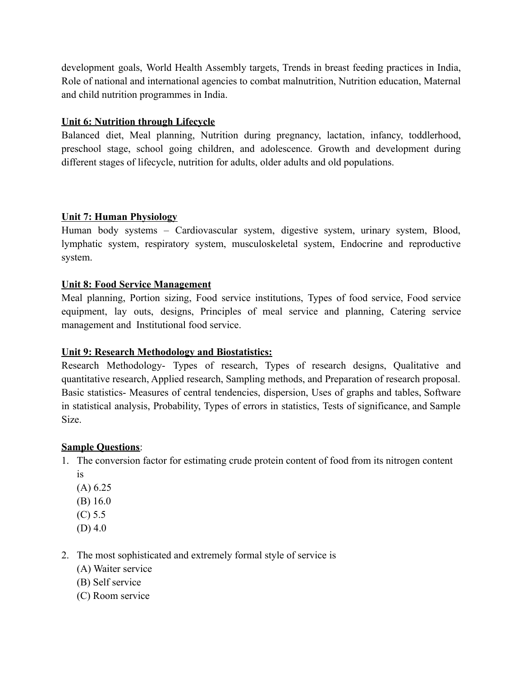development goals, World Health Assembly targets, Trends in breast feeding practices in India, Role of national and international agencies to combat malnutrition, Nutrition education, Maternal and child nutrition programmes in India.

#### **Unit 6: Nutrition through Lifecycle**

Balanced diet, Meal planning, Nutrition during pregnancy, lactation, infancy, toddlerhood, preschool stage, school going children, and adolescence. Growth and development during different stages of lifecycle, nutrition for adults, older adults and old populations.

# **Unit 7: Human Physiology**

Human body systems – Cardiovascular system, digestive system, urinary system, Blood, lymphatic system, respiratory system, musculoskeletal system, Endocrine and reproductive system.

# **Unit 8: Food Service Management**

Meal planning, Portion sizing, Food service institutions, Types of food service, Food service equipment, lay outs, designs, Principles of meal service and planning, Catering service management and Institutional food service.

# **Unit 9: Research Methodology and Biostatistics:**

Research Methodology- Types of research, Types of research designs, Qualitative and quantitative research, Applied research, Sampling methods, and Preparation of research proposal. Basic statistics- Measures of central tendencies, dispersion, Uses of graphs and tables, Software in statistical analysis, Probability, Types of errors in statistics, Tests of significance, and Sample Size.

# **Sample Questions**:

- 1. The conversion factor for estimating crude protein content of food from its nitrogen content is
	- (A) 6.25
	- (B) 16.0
	- (C) 5.5
	- $(D)$  4.0
- 2. The most sophisticated and extremely formal style of service is
	- (A) Waiter service
	- (B) Self service
	- (C) Room service